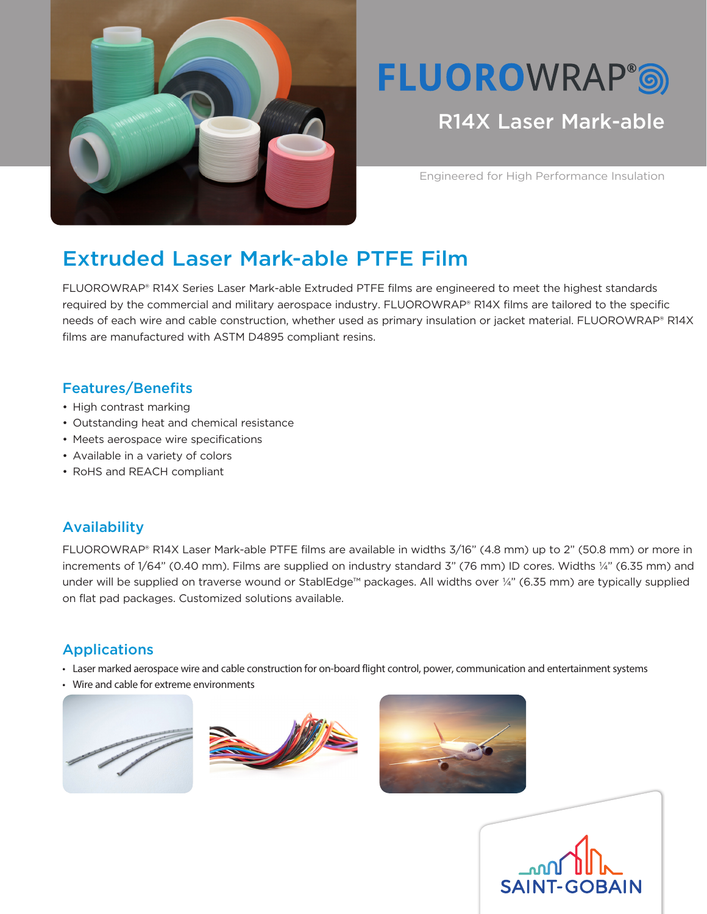

# **FLUOROWRAP®®**

## R14X Laser Mark-able

Engineered for High Performance Insulation

# Extruded Laser Mark-able PTFE Film

FLUOROWRAP® R14X Series Laser Mark-able Extruded PTFE films are engineered to meet the highest standards required by the commercial and military aerospace industry. FLUOROWRAP® R14X films are tailored to the specific needs of each wire and cable construction, whether used as primary insulation or jacket material. FLUOROWRAP® R14X films are manufactured with ASTM D4895 compliant resins.

### Features/Benefits

- High contrast marking
- Outstanding heat and chemical resistance
- Meets aerospace wire specifications
- Available in a variety of colors
- RoHS and REACH compliant

#### Availability

FLUOROWRAP® R14X Laser Mark-able PTFE films are available in widths 3/16" (4.8 mm) up to 2" (50.8 mm) or more in increments of 1/64" (0.40 mm). Films are supplied on industry standard 3" (76 mm) ID cores. Widths ¼" (6.35 mm) and under will be supplied on traverse wound or StablEdge™ packages. All widths over ¼" (6.35 mm) are typically supplied on flat pad packages. Customized solutions available.

## Applications

- Laser marked aerospace wire and cable construction for on-board flight control, power, communication and entertainment systems
- Wire and cable for extreme environments